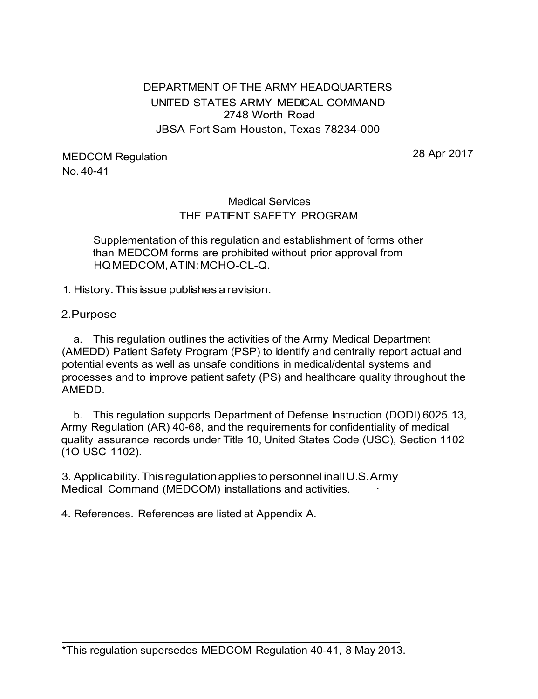## DEPARTMENT OF THE ARMY HEADQUARTERS UNITED STATES ARMY MEDICAL COMMAND 2748 Worth Road JBSA Fort Sam Houston, Texas 78234-000

MEDCOM Regulation No. 40-41

28 Apr 2017

## Medical Services THE PATIENT SAFETY PROGRAM

Supplementation of this regulation and establishment of forms other than MEDCOM forms are prohibited without prior approval from HQ MEDCOM, ATIN: MCHO-CL-Q.

1. History. This issue publishes a revision.

2.Purpose

a. This regulation outlines the activities of the Army Medical Department (AMEDD) Patient Safety Program (PSP) to identify and centrally report actual and potential events as well as unsafe conditions in medical/dental systems and processes and to improve patient safety (PS) and healthcare quality throughout the AMEDD.

b. This regulation supports Department of Defense Instruction (DODI) 6025.13, Army Regulation (AR) 40-68, and the requirements for confidentiality of medical quality assurance records under Title 10, United States Code (USC), Section 1102 (1O USC 1102).

3. Applicability. This regulation applies to personnel in all U.S. Army Medical Command (MEDCOM) installations and activities.

4. References. References are listed at Appendix A.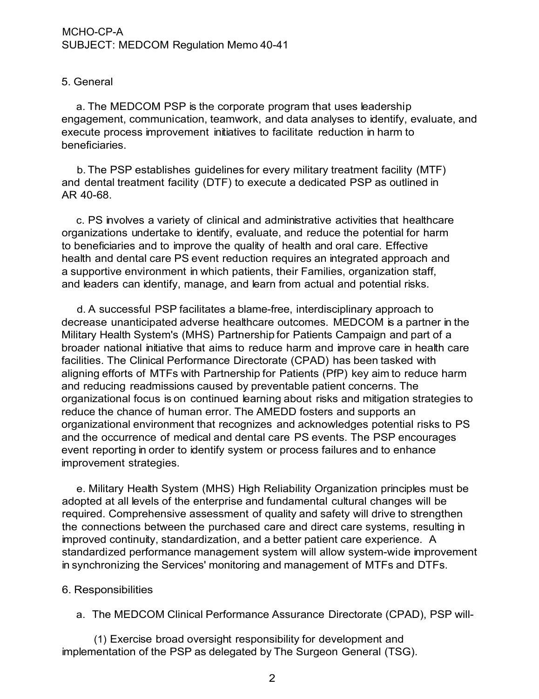## 5. General

a. The MEDCOM PSP is the corporate program that uses leadership engagement, communication, teamwork, and data analyses to identify, evaluate, and execute process improvement initiatives to facilitate reduction in harm to beneficiaries.

b. The PSP establishes guidelines for every military treatment facility (MTF) and dental treatment facility (DTF) to execute a dedicated PSP as outlined in AR 40-68.

c. PS involves a variety of clinical and administrative activities that healthcare organizations undertake to identify, evaluate, and reduce the potential for harm to beneficiaries and to improve the quality of health and oral care. Effective health and dental care PS event reduction requires an integrated approach and a supportive environment in which patients, their Families, organization staff, and leaders can identify, manage, and learn from actual and potential risks.

d. A successful PSP facilitates a blame-free, interdisciplinary approach to decrease unanticipated adverse healthcare outcomes. MEDCOM is a partner in the Military Health System's (MHS) Partnership for Patients Campaign and part of a broader national initiative that aims to reduce harm and improve care in health care facilities. The Clinical Performance Directorate (CPAD) has been tasked with aligning efforts of MTFs with Partnership for Patients (PfP) key aim to reduce harm and reducing readmissions caused by preventable patient concerns. The organizational focus is on continued learning about risks and mitigation strategies to reduce the chance of human error. The AMEDD fosters and supports an organizational environment that recognizes and acknowledges potential risks to PS and the occurrence of medical and dental care PS events. The PSP encourages event reporting in order to identify system or process failures and to enhance improvement strategies.

e. Military Health System (MHS) High Reliability Organization principles must be adopted at all levels of the enterprise and fundamental cultural changes will be required. Comprehensive assessment of quality and safety will drive to strengthen the connections between the purchased care and direct care systems, resulting in improved continuity, standardization, and a better patient care experience. A standardized performance management system will allow system-wide improvement in synchronizing the Services' monitoring and management of MTFs and DTFs.

## 6. Responsibilities

a. The MEDCOM Clinical Performance Assurance Directorate (CPAD), PSP will-

(1) Exercise broad oversight responsibility for development and implementation of the PSP as delegated by The Surgeon General (TSG).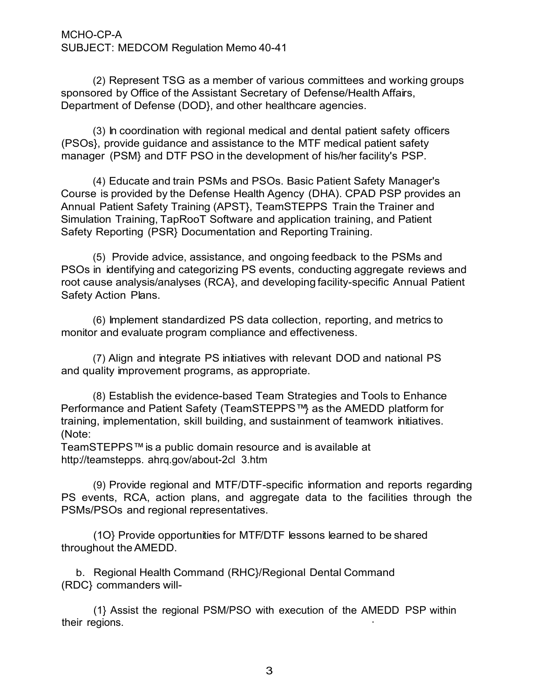(2) Represent TSG as a member of various committees and working groups sponsored by Office of the Assistant Secretary of Defense/Health Affairs, Department of Defense (DOD}, and other healthcare agencies.

(3) In coordination with regional medical and dental patient safety officers (PSOs}, provide guidance and assistance to the MTF medical patient safety manager (PSM} and DTF PSO in the development of his/her facility's PSP.

(4) Educate and train PSMs and PSOs. Basic Patient Safety Manager's Course is provided by the Defense Health Agency (DHA). CPAD PSP provides an Annual Patient Safety Training (APST}, TeamSTEPPS Train the Trainer and Simulation Training, TapRooT Software and application training, and Patient Safety Reporting (PSR} Documentation and Reporting Training.

(5) Provide advice, assistance, and ongoing feedback to the PSMs and PSOs in identifying and categorizing PS events, conducting aggregate reviews and root cause analysis/analyses (RCA}, and developing facility-specific Annual Patient Safety Action Plans.

(6) Implement standardized PS data collection, reporting, and metrics to monitor and evaluate program compliance and effectiveness.

(7) Align and integrate PS initiatives with relevant DOD and national PS and quality improvement programs, as appropriate.

(8) Establish the evidence-based Team Strategies and Tools to Enhance Performance and Patient Safety (TeamSTEPPS™} as the AMEDD platform for training, implementation, skill building, and sustainment of teamwork initiatives. (Note:

TeamSTEPPS™ is a public domain resource and is available a[t](http://teamstepps/) [http://teamstepps.](http://teamstepps/) ahrq.gov/about-2cl 3.htm

(9) Provide regional and MTF/DTF-specific information and reports regarding PS events, RCA, action plans, and aggregate data to the facilities through the PSMs/PSOs and regional representatives.

(1O} Provide opportunities for MTF/DTF lessons learned to be shared throughout the AMEDD.

b. Regional Health Command (RHC}/Regional Dental Command (RDC} commanders will-

(1} Assist the regional PSM/PSO with execution of the AMEDD PSP within their regions.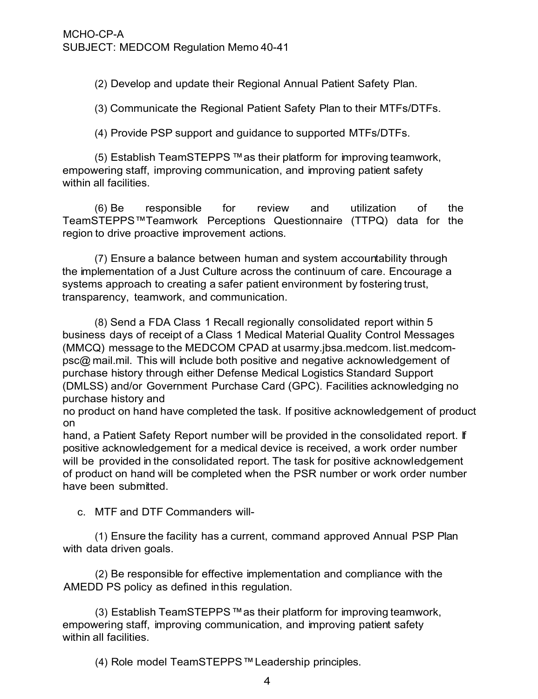(2) Develop and update their Regional Annual Patient Safety Plan.

(3) Communicate the Regional Patient Safety Plan to their MTFs/DTFs.

(4) Provide PSP support and guidance to supported MTFs/DTFs.

(5) Establish TeamSTEPPS ™as their platform for improving teamwork, empowering staff, improving communication, and improving patient safety within all facilities.

(6) Be responsible for review and utilization of the TeamSTEPPS™Teamwork Perceptions Questionnaire (TTPQ) data for the region to drive proactive improvement actions.

(7) Ensure a balance between human and system accountability through the implementation of a Just Culture across the continuum of care. Encourage a systems approach to creating a safer patient environment by fostering trust, transparency, teamwork, and communication.

(8) Send a FDA Class 1 Recall regionally consolidated report within 5 business days of receipt of a Class 1 Medical Material Quality Control Messages (MMCQ) message to the MEDCOM CPAD at usarmy.jbsa.medcom. list.medcompsc@ mail.mil. This will include both positive and negative acknowledgement of purchase history through either Defense Medical Logistics Standard Support (DMLSS) and/or Government Purchase Card (GPC). Facilities acknowledging no purchase history and

no product on hand have completed the task. If positive acknowledgement of product on

hand, a Patient Safety Report number will be provided in the consolidated report. If positive acknowledgement for a medical device is received, a work order number will be provided in the consolidated report. The task for positive acknowledgement of product on hand will be completed when the PSR number or work order number have been submitted.

c. MTF and DTF Commanders will-

(1) Ensure the facility has a current, command approved Annual PSP Plan with data driven goals.

(2) Be responsible for effective implementation and compliance with the AMEDD PS policy as defined in this regulation.

(3) Establish TeamSTEPPS™as their platform for improving teamwork, empowering staff, improving communication, and improving patient safety within all facilities.

(4) Role model TeamSTEPPS™Leadership principles.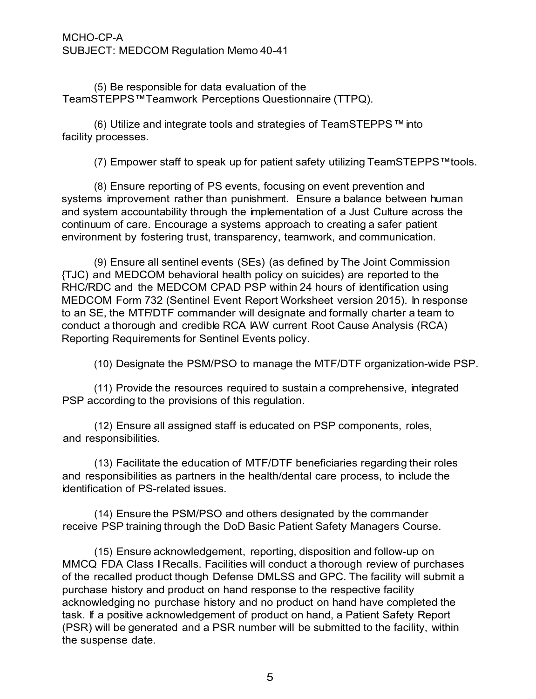(5) Be responsible for data evaluation of the TeamSTEPPS™Teamwork Perceptions Questionnaire (TTPQ).

(6) Utilize and integrate tools and strategies of TeamSTEPPS™ into facility processes.

(7) Empower staff to speak up for patient safety utilizing TeamSTEPPS™tools.

(8) Ensure reporting of PS events, focusing on event prevention and systems improvement rather than punishment. Ensure a balance between human and system accountability through the implementation of a Just Culture across the continuum of care. Encourage a systems approach to creating a safer patient environment by fostering trust, transparency, teamwork, and communication.

(9) Ensure all sentinel events (SEs) (as defined by The Joint Commission {TJC) and MEDCOM behavioral health policy on suicides) are reported to the RHC/RDC and the MEDCOM CPAD PSP within 24 hours of identification using MEDCOM Form 732 (Sentinel Event Report Worksheet version 2015). In response to an SE, the MTF/DTF commander will designate and formally charter a team to conduct a thorough and credible RCA IAW current Root Cause Analysis (RCA) Reporting Requirements for Sentinel Events policy.

(10) Designate the PSM/PSO to manage the MTF/DTF organization-wide PSP.

(11) Provide the resources required to sustain a comprehensive, integrated PSP according to the provisions of this regulation.

(12) Ensure all assigned staff is educated on PSP components, roles, and responsibilities.

(13) Facilitate the education of MTF/DTF beneficiaries regarding their roles and responsibilities as partners in the health/dental care process, to include the identification of PS-related issues.

(14) Ensure the PSM/PSO and others designated by the commander receive PSP training through the DoD Basic Patient Safety Managers Course.

(15) Ensure acknowledgement, reporting, disposition and follow-up on MMCQ FDA Class I Recalls. Facilities will conduct a thorough review of purchases of the recalled product though Defense DMLSS and GPC. The facility will submit a purchase history and product on hand response to the respective facility acknowledging no purchase history and no product on hand have completed the task. If a positive acknowledgement of product on hand, a Patient Safety Report (PSR) will be generated and a PSR number will be submitted to the facility, within the suspense date.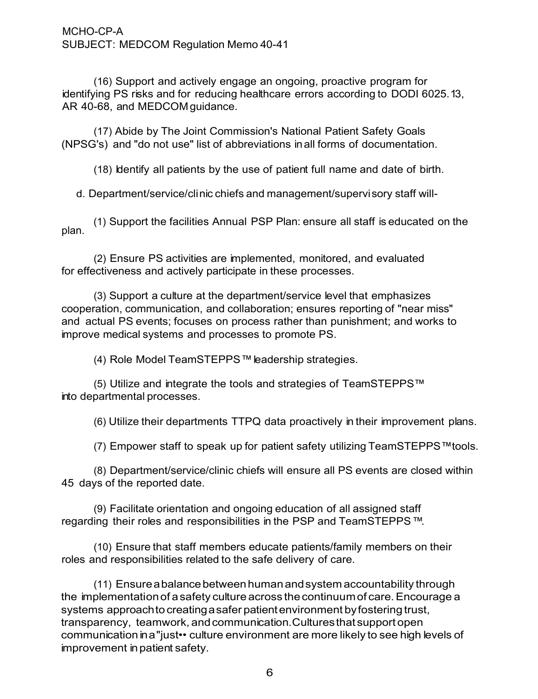(16) Support and actively engage an ongoing, proactive program for identifying PS risks and for reducing healthcare errors according to DODI 6025.13, AR 40-68, and MEDCOM guidance.

(17) Abide by The Joint Commission's National Patient Safety Goals (NPSG's) and "do not use" list of abbreviations in all forms of documentation.

(18) Identify all patients by the use of patient full name and date of birth.

d. Department/service/clinic chiefs and management/supervisory staff will-

plan. (1) Support the facilities Annual PSP Plan: ensure all staff is educated on the

(2) Ensure PS activities are implemented, monitored, and evaluated for effectiveness and actively participate in these processes.

(3) Support a culture at the department/service level that emphasizes cooperation, communication, and collaboration; ensures reporting of "near miss" and actual PS events; focuses on process rather than punishment; and works to improve medical systems and processes to promote PS.

(4) Role Model TeamSTEPPS™ leadership strategies.

(5) Utilize and integrate the tools and strategies of TeamSTEPPS™ into departmental processes.

(6) Utilize their departments TTPQ data proactively in their improvement plans.

(7) Empower staff to speak up for patient safety utilizing TeamSTEPPS™tools.

(8) Department/service/clinic chiefs will ensure all PS events are closed within 45 days of the reported date.

(9) Facilitate orientation and ongoing education of all assigned staff regarding their roles and responsibilities in the PSP and TeamSTEPPS ™.

(10) Ensure that staff members educate patients/family members on their roles and responsibilities related to the safe delivery of care.

(11) Ensure a balance between human and system accountability through the implementationof a safety culture across the continuum of care. Encourage a systems approach to creating a safer patient environment by fostering trust, transparency, teamwork, and communication.Cultures that support open communication in a "just•• culture environment are more likely to see high levels of improvement in patient safety.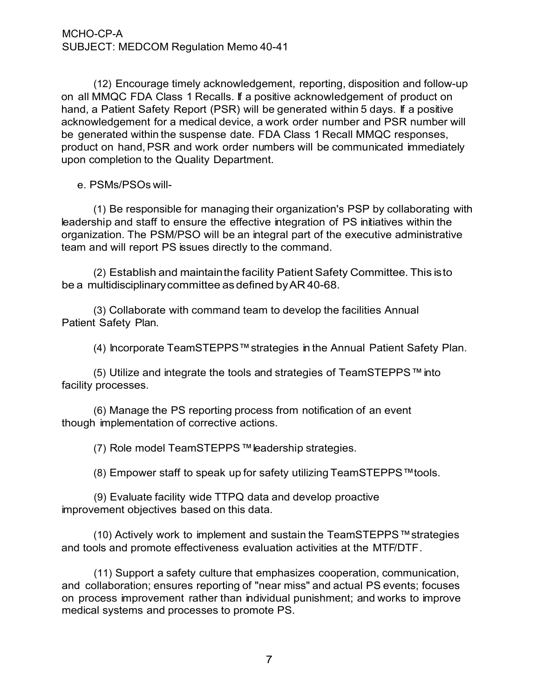(12) Encourage timely acknowledgement, reporting, disposition and follow-up on all MMQC FDA Class 1 Recalls. If a positive acknowledgement of product on hand, a Patient Safety Report (PSR) will be generated within 5 days. If a positive acknowledgement for a medical device, a work order number and PSR number will be generated within the suspense date. FDA Class 1 Recall MMQC responses, product on hand, PSR and work order numbers will be communicated immediately upon completion to the Quality Department.

e. PSMs/PSOs will-

(1) Be responsible for managing their organization's PSP by collaborating with leadership and staff to ensure the effective integration of PS initiatives within the organization. The PSM/PSO will be an integral part of the executive administrative team and will report PS issues directly to the command.

(2) Establish and maintain the facility Patient Safety Committee. This is to be a multidisciplinary committee as defined byAR 40-68.

(3) Collaborate with command team to develop the facilities Annual Patient Safety Plan.

(4) Incorporate TeamSTEPPS™strategies in the Annual Patient Safety Plan.

(5) Utilize and integrate the tools and strategies of TeamSTEPPS™ into facility processes.

(6) Manage the PS reporting process from notification of an event though implementation of corrective actions.

(7) Role model TeamSTEPPS™leadership strategies.

(8) Empower staff to speak up for safety utilizing TeamSTEPPS™tools.

(9) Evaluate facility wide TTPQ data and develop proactive improvement objectives based on this data.

(10) Actively work to implement and sustain the TeamSTEPPS™strategies and tools and promote effectiveness evaluation activities at the MTF/DTF.

(11) Support a safety culture that emphasizes cooperation, communication, and collaboration; ensures reporting of "near miss" and actual PS events; focuses on process improvement rather than individual punishment; and works to improve medical systems and processes to promote PS.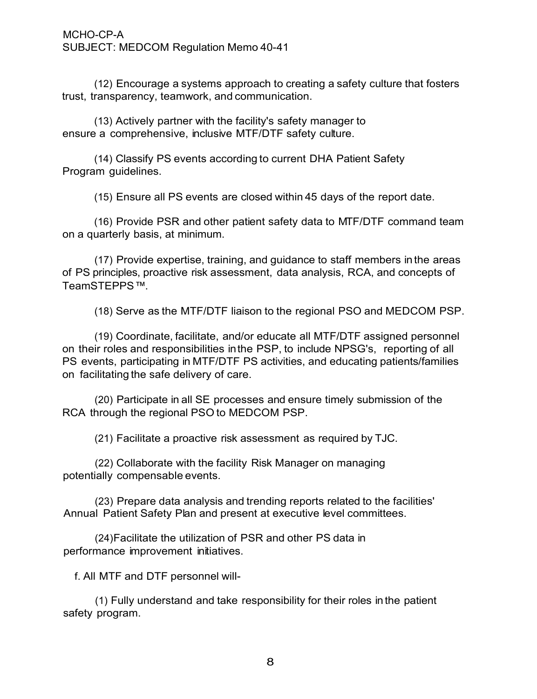(12) Encourage a systems approach to creating a safety culture that fosters trust, transparency, teamwork, and communication.

(13) Actively partner with the facility's safety manager to ensure a comprehensive, inclusive MTF/DTF safety culture.

(14) Classify PS events according to current DHA Patient Safety Program guidelines.

(15) Ensure all PS events are closed within 45 days of the report date.

(16) Provide PSR and other patient safety data to MTF/DTF command team on a quarterly basis, at minimum.

(17) Provide expertise, training, and guidance to staff members in the areas of PS principles, proactive risk assessment, data analysis, RCA, and concepts of TeamSTEPPS ™.

(18) Serve as the MTF/DTF liaison to the regional PSO and MEDCOM PSP.

(19) Coordinate, facilitate, and/or educate all MTF/DTF assigned personnel on their roles and responsibilities in the PSP, to include NPSG's, reporting of all PS events, participating in MTF/DTF PS activities, and educating patients/families on facilitating the safe delivery of care.

(20) Participate in all SE processes and ensure timely submission of the RCA through the regional PSO to MEDCOM PSP.

(21) Facilitate a proactive risk assessment as required by TJC.

(22) Collaborate with the facility Risk Manager on managing potentially compensable events.

(23) Prepare data analysis and trending reports related to the facilities' Annual Patient Safety Plan and present at executive level committees.

(24) Facilitate the utilization of PSR and other PS data in performance improvement initiatives.

f. All MTF and DTF personnel will-

(1) Fully understand and take responsibility for their roles in the patient safety program.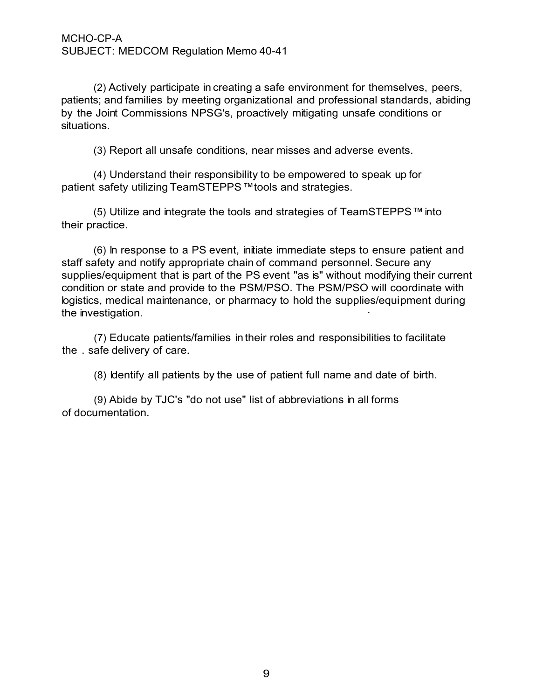(2) Actively participate in creating a safe environment for themselves, peers, patients; and families by meeting organizational and professional standards, abiding by the Joint Commissions NPSG's, proactively mitigating unsafe conditions or situations.

(3) Report all unsafe conditions, near misses and adverse events.

(4) Understand their responsibility to be empowered to speak up for patient safety utilizing TeamSTEPPS™tools and strategies.

(5) Utilize and integrate the tools and strategies of TeamSTEPPS™ into their practice.

(6) In response to a PS event, initiate immediate steps to ensure patient and staff safety and notify appropriate chain of command personnel. Secure any supplies/equipment that is part of the PS event "as is" without modifying their current condition or state and provide to the PSM/PSO. The PSM/PSO will coordinate with logistics, medical maintenance, or pharmacy to hold the supplies/equipment during the investigation.

(7) Educate patients/families in their roles and responsibilities to facilitate the . safe delivery of care.

(8) Identify all patients by the use of patient full name and date of birth.

(9) Abide by TJC's "do not use" list of abbreviations in all forms of documentation.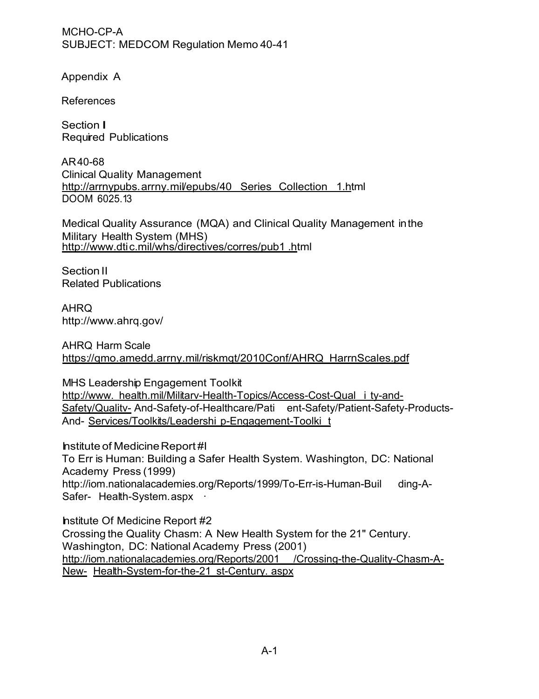Appendix A

References

Section I Required Publications

AR40-68 Clinical Quality Management http://arrnypubs.arrny.mil/epubs/40 Series Collection 1.html DOOM 6025.13

Medical Quality Assurance (MQA) and Clinical Quality Management in the Military Health System (MHS) http://www.dtic.mil/whs/directives/corres/pub1.html

Section II Related Publications

AHRQ <http://www.ahrq.gov/>

AHRQ Harm Scale https://qmo.amedd.arrny.mil/riskmqt/2010Conf/AHRQ HarrnScales.pdf

MHS Leadership Engagement Toolkit [http://www.](http://www/) health.mil/Militarv-Health-Topics/Access-Cost-Qual i ty-and-Safety/Quality- And-Safety-of-Healthcare/Pati ent-Safety/Patient-Safety-Products-And- Services/Toolkits/Leadershi p-Engagement-Toolki t

Institute of Medicine Report #I To Err is Human: Building a Safer Health System. Washington, DC: National Academy Press (1999) <http://iom.nationalacademies.org/Reports/1999/To-Err-is-Human-Buil>ding-A-Safer- Health-System.aspx ·

Institute Of Medicine Report #2 Crossing the Quality Chasm: A New Health System for the 21" Century. Washington, DC: National Academy Press (2001) <http://iom.nationalacademies.org/Reports/2001>/Crossing-the-Quality-Chasm-A-New- Health-System-for-the-21 st-Century. aspx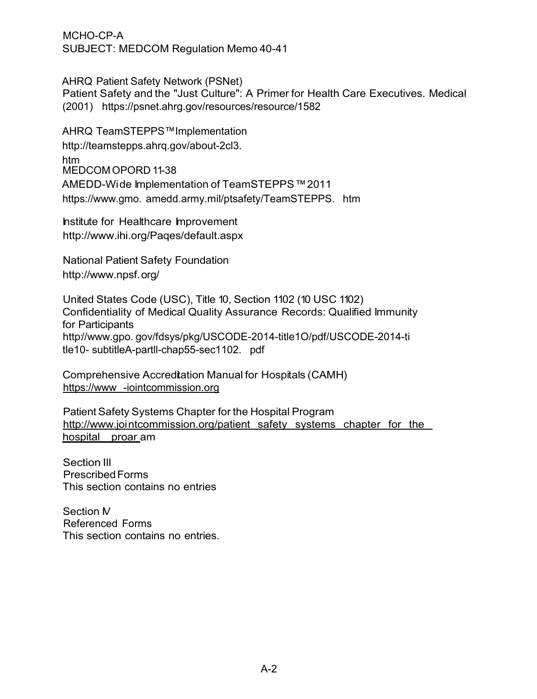AHRQ Patient Safety Network (PSNet) Patient Safety and the "Just Culture": A Primer for Health Care Executives. Medical (2001) https://psnet.ahrg.gov/resources/resource/1582

AHRQ TeamSTEPPS™Implementation [http://teamstepps.ahrq.gov/about-2cl3.](http://teamstepps.ahrq.gov/about-2cl3)  htm MEDCOM OPORD 11-38 AMEDD-Wide Implementation of TeamSTEPPS™2011 https://www.gmo. amedd.army.mil/ptsafety/TeamSTEPPS. htm

Institute for Healthcare Improvement <http://www.ihi.org/Paqes/default.aspx>

National Patient Safety Foundation http://www.npsf. org/

United States Code (USC), Title 10, Section 1102 (10 USC 1102) Confidentiality of Medical Quality Assurance Records: Qualified Immunity for Participants http://www.gpo. gov/fdsys/pkg/USCODE-2014-title1O/pdf/USCODE-2014-ti tle10- subtitleA-partll-chap55-sec1102. pdf

Comprehensive Accreditation Manual for Hospitals (CAMH) https://www -iointcommission.org

Patient Safety Systems Chapter for the Hospital Program http://www.joi ntcommission.org/patient safety systems chapter for the hospital proar am

Section Ill Prescribed Forms This section contains no entries

Section M Referenced Forms This section contains no entries.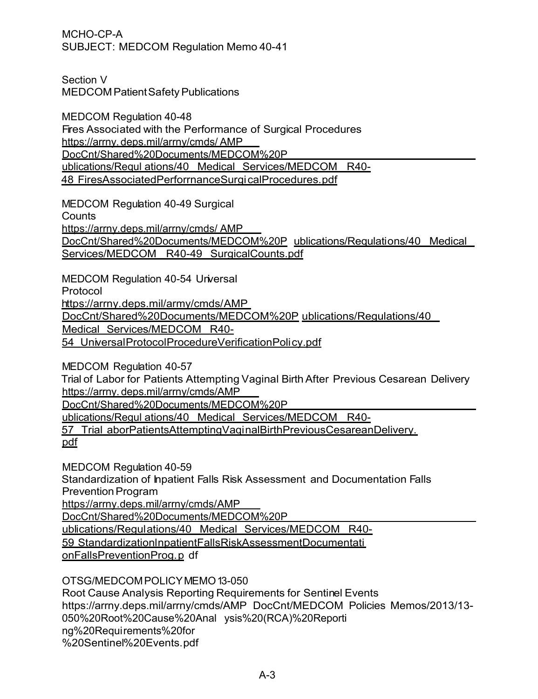Section V MEDCOM Patient Safety Publications

MEDCOM Regulation 40-48 Fires Associated with the Performance of Surgical Procedures https://arrny. deps.mil/arrny/cmds/ AMP DocCnt/Shared%20Documents/MEDCOM%20P ublications/Requl ations/40 Medical Services/MEDCOM R40- 48 FiresAssociatedPerforrnanceSurgi calProcedures. pdf

MEDCOM Regulation 40-49 Surgical

**Counts** 

https://arrny.deps.mil/arrny/cmds/ AMP DocCnt/Shared%20Documents/MEDCOM%20P ublications/Requlations/40 Medical Services/MEDCOM R40-49 SurgicalCounts.pdf

MEDCOM Regulation 40-54 Universal

Protocol

https://arrny. deps.mil/army/cmds/ AMP

DocCnt/Shared%20Documents/MEDCOM%20P ublications/Regulations/40

Medical Services/MEDCOM R40-

54 Universal ProtocolProcedureVerificationPoli cy.pdf

MEDCOM Regulation 40-57

Trial of Labor for Patients Attempting Vaginal Birth After Previous Cesarean Delivery https://arrny. deps.mil/arrny/cmds/AMP

DocCnt/Shared%20Documents/MEDCOM%20P

ublications/Regul ations/40 Medical Services/MEDCOM R40-

57 Trial aborPatientsAttemptingVaqi nalBirthPreviousCesareanDelivery.

pdf

MEDCOM Regulation 40-59

Standardization of Inpatient Falls Risk Assessment and Documentation Falls Prevention Program

https://arrny.deps.mil/arrny/cmds/AMP

DocCnt/Shared%20Documents/MEDCOM%20P

ublications/Regulations/40 Medical Services/MEDCOM R40-

59 Standardizationl npatientFallsRiskAssessmentDocumentati

onFallsPreventionProg. p df

OTSG/MEDCOM POLICY MEMO 13-050

Root Cause Analysis Reporting Requirements for Sentinel Events https://arrny.deps.mil/arrny/cmds/AMP DocCnt/MEDCOM Policies Memos/2013/13- 050%20Root%20Cause%20Anal ysis%20(RCA)%20Reporti ng%20Requirements%20for %20Sentinel%20Events.pdf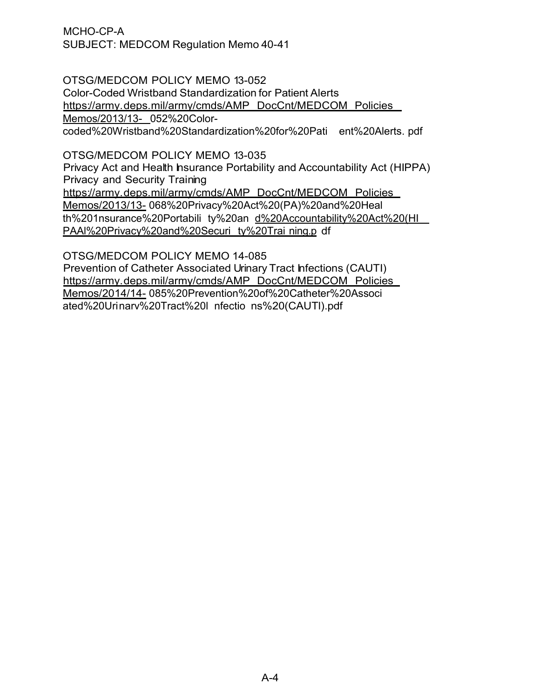OTSG/MEDCOM POLICY MEMO 13-052 Color-Coded Wristband Standardization for Patient Alerts https://army. deps.mil/army/cmds/AMP DocCnt/MEDCOM Policies Memos/2013/13- 052%20Colorcoded%20Wristband%20Standardization%20for%20Pati ent%20Alerts. pdf

OTSG/MEDCOM POLICY MEMO 13-035

Privacy Act and Health Insurance Portability and Accountability Act (HIPPA) Privacy and Security Training https://army. deps.mil/army/cmds/AMP DocCnt/MEDCOM Policies Memos/2013/13- 068%20Privacy%20Act%20(PA)%20and%20Heal th%201nsurance%20Portabili ty%20an d%20Accountability%20Act%20(HI PAAl%20Privacy%20and%20Securi ty%20Trai ning.p df

OTSG/MEDCOM POLICY MEMO 14-085 Prevention of Catheter Associated Urinary Tract Infections (CAUTI) https://army. deps.mil/army/cmds/AMP DocCnt/MEDCOM Policies Memos/2014/14- 085%20Prevention%20of%20Catheter%20Associ ated%20Urinarv%20Tract%20l nfectio ns%20(CAUTl).pdf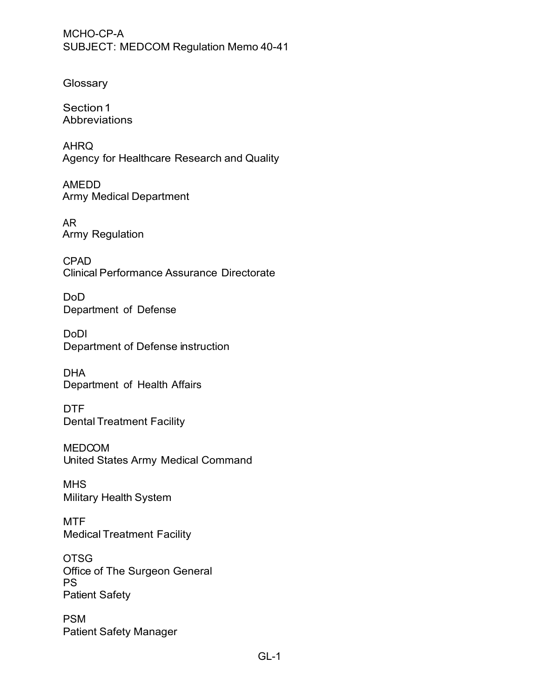**Glossary** 

Section 1 **Abbreviations** 

AHRQ Agency for Healthcare Research and Quality

AMEDD Army Medical Department

AR Army Regulation

CPAD Clinical Performance Assurance Directorate

DoD Department of Defense

DoDI Department of Defense instruction

DHA Department of Health Affairs

DTF Dental Treatment Facility

MEDCOM United States Army Medical Command

**MHS** Military Health System

**MTF** Medical Treatment Facility

OTSG Office of The Surgeon General PS Patient Safety

PSM Patient Safety Manager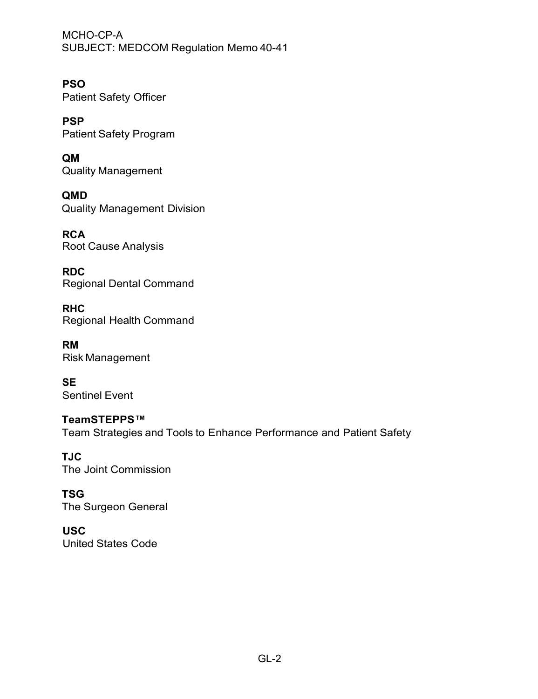**PSO** Patient Safety Officer

**PSP** Patient Safety Program

**QM** Quality Management

**QMD** Quality Management Division

**RCA** Root Cause Analysis

**RDC** Regional Dental Command

**RHC** Regional Health Command

**RM** Risk Management

**SE** Sentinel Event

**TeamSTEPPS™** Team Strategies and Tools to Enhance Performance and Patient Safety

**TJC** The Joint Commission

**TSG** The Surgeon General

**USC** United States Code